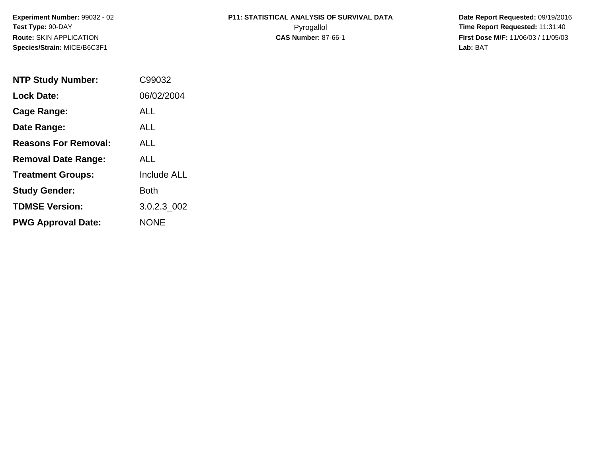**Experiment Number:** 99032 - 02**Test Type:** 90-DAY**Route:** SKIN APPLICATION**Species/Strain:** MICE/B6C3F1

# **P11: STATISTICAL ANALYSIS OF SURVIVAL DATA**

 **Date Report Requested:** 09/19/2016 Pyrogallol **Time Report Requested:** 11:31:40 **First Dose M/F:** 11/06/03 / 11/05/03<br>Lab: BAT **Lab:** BAT

| <b>NTP Study Number:</b>    | C99032             |
|-----------------------------|--------------------|
| <b>Lock Date:</b>           | 06/02/2004         |
| Cage Range:                 | ALL                |
| Date Range:                 | AI I               |
| <b>Reasons For Removal:</b> | AI I               |
| <b>Removal Date Range:</b>  | ALL                |
| <b>Treatment Groups:</b>    | <b>Include ALL</b> |
| <b>Study Gender:</b>        | Both               |
| <b>TDMSE Version:</b>       | 3.0.2.3 002        |
| <b>PWG Approval Date:</b>   | <b>NONE</b>        |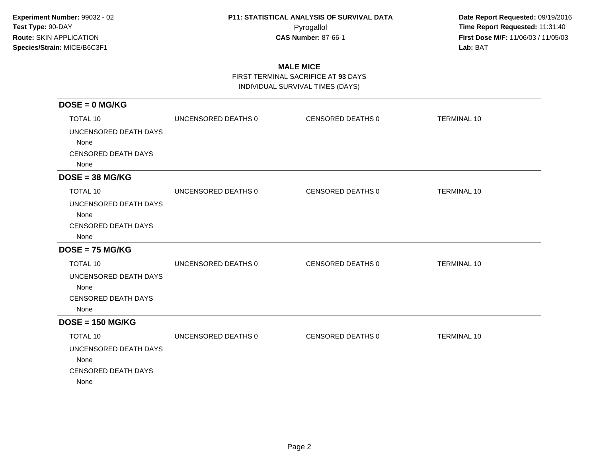**Date Report Requested:** 09/19/2016 Pyrogallol **Time Report Requested:** 11:31:40 **First Dose M/F:** 11/06/03 / 11/05/03<br>**Lab:** BAT **Lab:** BAT

### **MALE MICE**

FIRST TERMINAL SACRIFICE AT **93** DAYS

INDIVIDUAL SURVIVAL TIMES (DAYS)

| $DOSE = 0$ MG/KG                                                                       |                     |                   |                    |
|----------------------------------------------------------------------------------------|---------------------|-------------------|--------------------|
| <b>TOTAL 10</b>                                                                        | UNCENSORED DEATHS 0 | CENSORED DEATHS 0 | <b>TERMINAL 10</b> |
| UNCENSORED DEATH DAYS<br>None                                                          |                     |                   |                    |
| <b>CENSORED DEATH DAYS</b><br>None                                                     |                     |                   |                    |
| $DOSE = 38 MG/KG$                                                                      |                     |                   |                    |
| <b>TOTAL 10</b>                                                                        | UNCENSORED DEATHS 0 | CENSORED DEATHS 0 | <b>TERMINAL 10</b> |
| UNCENSORED DEATH DAYS<br>None<br><b>CENSORED DEATH DAYS</b><br>None                    |                     |                   |                    |
| $DOSE = 75 MG/KG$                                                                      |                     |                   |                    |
| <b>TOTAL 10</b>                                                                        | UNCENSORED DEATHS 0 | CENSORED DEATHS 0 | <b>TERMINAL 10</b> |
| UNCENSORED DEATH DAYS<br>None<br><b>CENSORED DEATH DAYS</b><br>None                    |                     |                   |                    |
| $DOSE = 150 MG/KG$                                                                     |                     |                   |                    |
| <b>TOTAL 10</b><br>UNCENSORED DEATH DAYS<br>None<br><b>CENSORED DEATH DAYS</b><br>None | UNCENSORED DEATHS 0 | CENSORED DEATHS 0 | <b>TERMINAL 10</b> |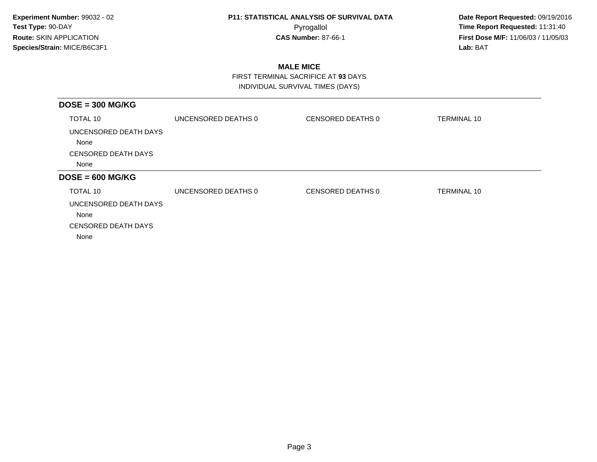**Date Report Requested:** 09/19/2016 Pyrogallol **Time Report Requested:** 11:31:40 **First Dose M/F:** 11/06/03 / 11/05/03<br>**Lab:** BAT **Lab:** BAT

### **MALE MICE**

 FIRST TERMINAL SACRIFICE AT **93** DAYSINDIVIDUAL SURVIVAL TIMES (DAYS)

| $DOSE = 300 MG/KG$            |                     |                   |                    |
|-------------------------------|---------------------|-------------------|--------------------|
| TOTAL 10                      | UNCENSORED DEATHS 0 | CENSORED DEATHS 0 | <b>TERMINAL 10</b> |
| UNCENSORED DEATH DAYS<br>None |                     |                   |                    |
| <b>CENSORED DEATH DAYS</b>    |                     |                   |                    |
| None                          |                     |                   |                    |
| $DOSE = 600 MG/KG$            |                     |                   |                    |
| TOTAL 10                      | UNCENSORED DEATHS 0 | CENSORED DEATHS 0 | <b>TERMINAL 10</b> |
| UNCENSORED DEATH DAYS<br>None |                     |                   |                    |
| <b>CENSORED DEATH DAYS</b>    |                     |                   |                    |
| None                          |                     |                   |                    |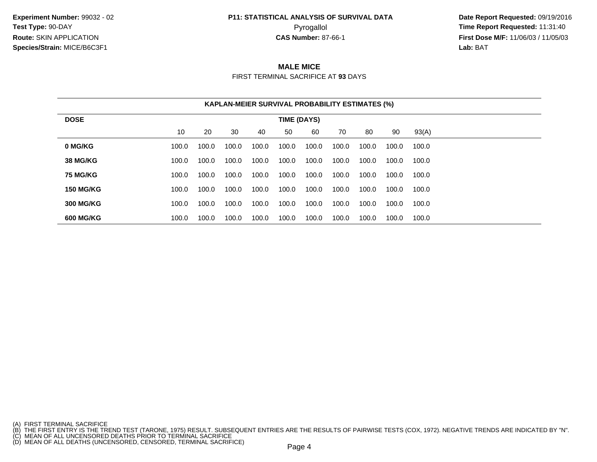**Experiment Number:** 99032 - 02**Test Type:** 90-DAY**Route:** SKIN APPLICATION**Species/Strain:** MICE/B6C3F1

## **P11: STATISTICAL ANALYSIS OF SURVIVAL DATA**

 **Date Report Requested:** 09/19/2016 Pyrogallol **Time Report Requested:** 11:31:40 **First Dose M/F:** 11/06/03 / 11/05/03<br>**Lab:** BAT **Lab:** BAT

### **MALE MICE**

FIRST TERMINAL SACRIFICE AT **93** DAYS

|                  | <b>KAPLAN-MEIER SURVIVAL PROBABILITY ESTIMATES (%)</b> |       |       |       |       |       |       |       |       |       |  |
|------------------|--------------------------------------------------------|-------|-------|-------|-------|-------|-------|-------|-------|-------|--|
| <b>DOSE</b>      | TIME (DAYS)                                            |       |       |       |       |       |       |       |       |       |  |
|                  | 10                                                     | 20    | 30    | 40    | 50    | 60    | 70    | 80    | 90    | 93(A) |  |
| 0 MG/KG          | 100.0                                                  | 100.0 | 100.0 | 100.0 | 100.0 | 100.0 | 100.0 | 100.0 | 100.0 | 100.0 |  |
| <b>38 MG/KG</b>  | 100.0                                                  | 100.0 | 100.0 | 100.0 | 100.0 | 100.0 | 100.0 | 100.0 | 100.0 | 100.0 |  |
| <b>75 MG/KG</b>  | 100.0                                                  | 100.0 | 100.0 | 100.0 | 100.0 | 100.0 | 100.0 | 100.0 | 100.0 | 100.0 |  |
| <b>150 MG/KG</b> | 100.0                                                  | 100.0 | 100.0 | 100.0 | 100.0 | 100.0 | 100.0 | 100.0 | 100.0 | 100.0 |  |
| <b>300 MG/KG</b> | 100.0                                                  | 100.0 | 100.0 | 100.0 | 100.0 | 100.0 | 100.0 | 100.0 | 100.0 | 100.0 |  |
| <b>600 MG/KG</b> | 100.0                                                  | 100.0 | 100.0 | 100.0 | 100.0 | 100.0 | 100.0 | 100.0 | 100.0 | 100.0 |  |

<sup>(</sup>A) FIRST TERMINAL SACRIFICE<br>(B) THE FIRST ENTRY IS THE TREND TEST (TARONE, 1975) RESULT. SUBSEQUENT ENTRIES ARE THE RESULTS OF PAIRWISE TESTS (COX, 1972). NEGATIVE TRENDS ARE INDICATED BY "N".<br>(C) MEAN OF ALL UNCENSORED D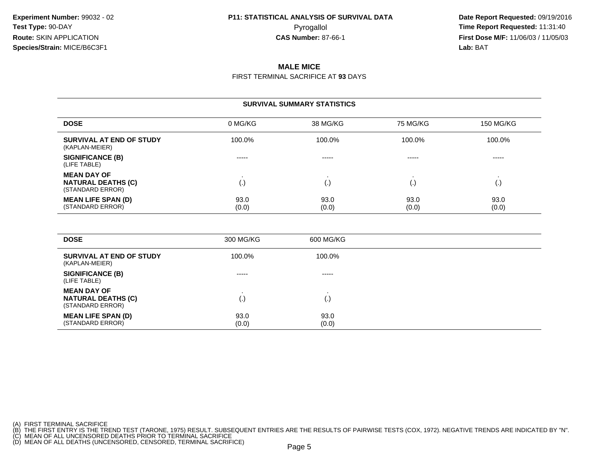**Date Report Requested:** 09/19/2016 Pyrogallol **Time Report Requested:** 11:31:40 **First Dose M/F:** 11/06/03 / 11/05/03<br>**Lab:** BAT **Lab:** BAT

#### **MALE MICE**

FIRST TERMINAL SACRIFICE AT **93** DAYS

#### **SURVIVAL SUMMARY STATISTICS**

| <b>DOSE</b>                                                         | 0 MG/KG                  | 38 MG/KG      | 75 MG/KG      | <b>150 MG/KG</b> |
|---------------------------------------------------------------------|--------------------------|---------------|---------------|------------------|
| SURVIVAL AT END OF STUDY<br>(KAPLAN-MEIER)                          | 100.0%                   | 100.0%        | 100.0%        | 100.0%           |
| <b>SIGNIFICANCE (B)</b><br>(LIFE TABLE)                             | -----                    | -----         | -----         | -----            |
| <b>MEAN DAY OF</b><br><b>NATURAL DEATHS (C)</b><br>(STANDARD ERROR) | $\left\{ \cdot \right\}$ | ι٠.           |               | ι٠,              |
| <b>MEAN LIFE SPAN (D)</b><br>(STANDARD ERROR)                       | 93.0<br>(0.0)            | 93.0<br>(0.0) | 93.0<br>(0.0) | 93.0<br>(0.0)    |

| <b>DOSE</b>                                                         | 300 MG/KG     | 600 MG/KG              |
|---------------------------------------------------------------------|---------------|------------------------|
| SURVIVAL AT END OF STUDY<br>(KAPLAN-MEIER)                          | 100.0%        | 100.0%                 |
| <b>SIGNIFICANCE (B)</b><br>(LIFE TABLE)                             | -----         | -----                  |
| <b>MEAN DAY OF</b><br><b>NATURAL DEATHS (C)</b><br>(STANDARD ERROR) | (.)           | $\left( \cdot \right)$ |
| <b>MEAN LIFE SPAN (D)</b><br>(STANDARD ERROR)                       | 93.0<br>(0.0) | 93.0<br>(0.0)          |

(A) FIRST TERMINAL SACRIFICE<br>(B) THE FIRST ENTRY IS THE TREND TEST (TARONE, 1975) RESULT. SUBSEQUENT ENTRIES ARE THE RESULTS OF PAIRWISE TESTS (COX, 1972). NEGATIVE TRENDS ARE INDICATED BY "N".<br>(C) MEAN OF ALL UNCENSORED D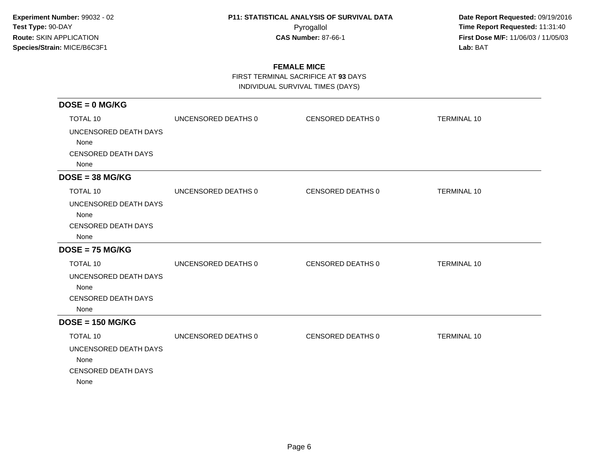**Date Report Requested:** 09/19/2016 Pyrogallol **Time Report Requested:** 11:31:40 **First Dose M/F:** 11/06/03 / 11/05/03<br>**Lab:** BAT **Lab:** BAT

### **FEMALE MICE**

FIRST TERMINAL SACRIFICE AT **93** DAYS

INDIVIDUAL SURVIVAL TIMES (DAYS)

| $DOSE = 0$ MG/KG                   |                     |                          |                    |
|------------------------------------|---------------------|--------------------------|--------------------|
| <b>TOTAL 10</b>                    | UNCENSORED DEATHS 0 | <b>CENSORED DEATHS 0</b> | <b>TERMINAL 10</b> |
| UNCENSORED DEATH DAYS              |                     |                          |                    |
| None                               |                     |                          |                    |
| <b>CENSORED DEATH DAYS</b><br>None |                     |                          |                    |
| $DOSE = 38 MG/KG$                  |                     |                          |                    |
| <b>TOTAL 10</b>                    | UNCENSORED DEATHS 0 | CENSORED DEATHS 0        | <b>TERMINAL 10</b> |
| UNCENSORED DEATH DAYS              |                     |                          |                    |
| None                               |                     |                          |                    |
| <b>CENSORED DEATH DAYS</b><br>None |                     |                          |                    |
| $DOSE = 75 MG/KG$                  |                     |                          |                    |
| <b>TOTAL 10</b>                    | UNCENSORED DEATHS 0 | CENSORED DEATHS 0        | <b>TERMINAL 10</b> |
| UNCENSORED DEATH DAYS              |                     |                          |                    |
| None                               |                     |                          |                    |
| <b>CENSORED DEATH DAYS</b><br>None |                     |                          |                    |
| $DOSE = 150 MG/KG$                 |                     |                          |                    |
| <b>TOTAL 10</b>                    | UNCENSORED DEATHS 0 | CENSORED DEATHS 0        | <b>TERMINAL 10</b> |
| UNCENSORED DEATH DAYS              |                     |                          |                    |
| None                               |                     |                          |                    |
| <b>CENSORED DEATH DAYS</b><br>None |                     |                          |                    |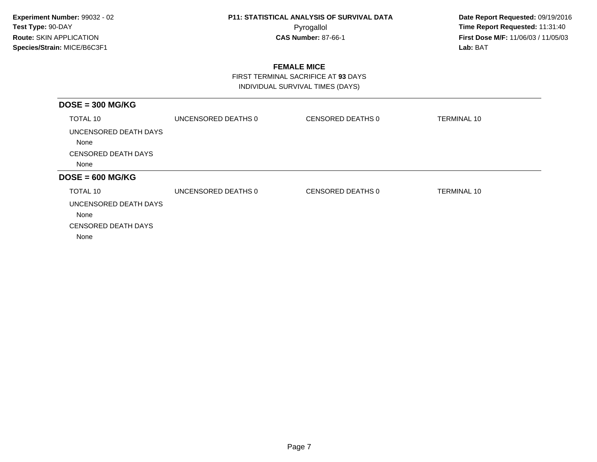**Date Report Requested:** 09/19/2016 Pyrogallol **Time Report Requested:** 11:31:40 **First Dose M/F:** 11/06/03 / 11/05/03<br>**Lab:** BAT **Lab:** BAT

### **FEMALE MICE**

 FIRST TERMINAL SACRIFICE AT **93** DAYSINDIVIDUAL SURVIVAL TIMES (DAYS)

| $DOSE = 300 MG/KG$            |                     |                   |                    |
|-------------------------------|---------------------|-------------------|--------------------|
| TOTAL 10                      | UNCENSORED DEATHS 0 | CENSORED DEATHS 0 | <b>TERMINAL 10</b> |
| UNCENSORED DEATH DAYS<br>None |                     |                   |                    |
| <b>CENSORED DEATH DAYS</b>    |                     |                   |                    |
| None                          |                     |                   |                    |
| $DOSE = 600 MG/KG$            |                     |                   |                    |
| TOTAL 10                      | UNCENSORED DEATHS 0 | CENSORED DEATHS 0 | <b>TERMINAL 10</b> |
| UNCENSORED DEATH DAYS         |                     |                   |                    |
| None                          |                     |                   |                    |
| <b>CENSORED DEATH DAYS</b>    |                     |                   |                    |
| None                          |                     |                   |                    |
|                               |                     |                   |                    |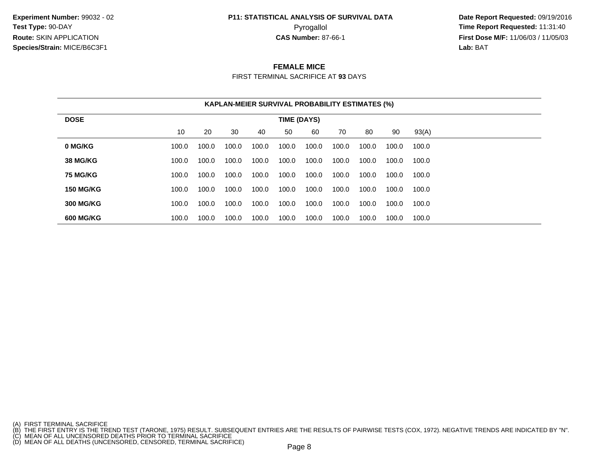**Experiment Number:** 99032 - 02**Test Type:** 90-DAY**Route:** SKIN APPLICATION**Species/Strain:** MICE/B6C3F1

## **P11: STATISTICAL ANALYSIS OF SURVIVAL DATA**

 **Date Report Requested:** 09/19/2016 Pyrogallol **Time Report Requested:** 11:31:40 **First Dose M/F:** 11/06/03 / 11/05/03<br>**Lab:** BAT **Lab:** BAT

#### **FEMALE MICE**

FIRST TERMINAL SACRIFICE AT **93** DAYS

| <b>KAPLAN-MEIER SURVIVAL PROBABILITY ESTIMATES (%)</b> |       |       |       |       |       |       |       |       |       |       |  |
|--------------------------------------------------------|-------|-------|-------|-------|-------|-------|-------|-------|-------|-------|--|
| <b>DOSE</b><br>TIME (DAYS)                             |       |       |       |       |       |       |       |       |       |       |  |
|                                                        | 10    | 20    | 30    | 40    | 50    | 60    | 70    | 80    | 90    | 93(A) |  |
| 0 MG/KG                                                | 100.0 | 100.0 | 100.0 | 100.0 | 100.0 | 100.0 | 100.0 | 100.0 | 100.0 | 100.0 |  |
| <b>38 MG/KG</b>                                        | 100.0 | 100.0 | 100.0 | 100.0 | 100.0 | 100.0 | 100.0 | 100.0 | 100.0 | 100.0 |  |
| <b>75 MG/KG</b>                                        | 100.0 | 100.0 | 100.0 | 100.0 | 100.0 | 100.0 | 100.0 | 100.0 | 100.0 | 100.0 |  |
| <b>150 MG/KG</b>                                       | 100.0 | 100.0 | 100.0 | 100.0 | 100.0 | 100.0 | 100.0 | 100.0 | 100.0 | 100.0 |  |
| <b>300 MG/KG</b>                                       | 100.0 | 100.0 | 100.0 | 100.0 | 100.0 | 100.0 | 100.0 | 100.0 | 100.0 | 100.0 |  |
| <b>600 MG/KG</b>                                       | 100.0 | 100.0 | 100.0 | 100.0 | 100.0 | 100.0 | 100.0 | 100.0 | 100.0 | 100.0 |  |

<sup>(</sup>A) FIRST TERMINAL SACRIFICE<br>(B) THE FIRST ENTRY IS THE TREND TEST (TARONE, 1975) RESULT. SUBSEQUENT ENTRIES ARE THE RESULTS OF PAIRWISE TESTS (COX, 1972). NEGATIVE TRENDS ARE INDICATED BY "N".<br>(C) MEAN OF ALL UNCENSORED D